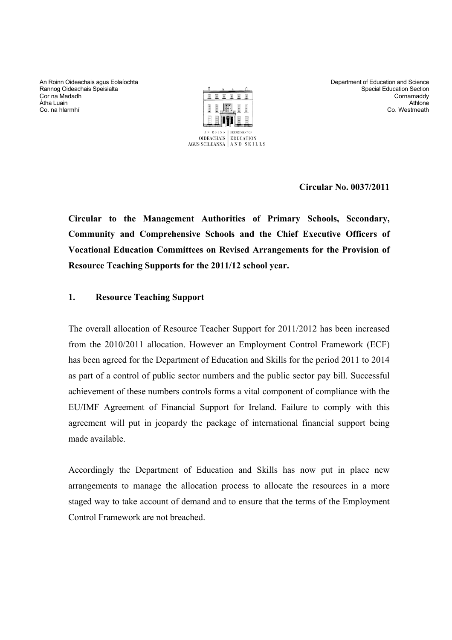An Roinn Oideachais agus Eolaíochta Rannog Oideachais Speisialta Cor na Madadh Átha Luain Co. na hlarmhí



Department of Education and Science Special Education Section Cornamaddy **Athlone** Co. Westmeath

**Circular No. 0037/2011** 

**Circular to the Management Authorities of Primary Schools, Secondary, Community and Comprehensive Schools and the Chief Executive Officers of Vocational Education Committees on Revised Arrangements for the Provision of Resource Teaching Supports for the 2011/12 school year.** 

## **1. Resource Teaching Support**

The overall allocation of Resource Teacher Support for 2011/2012 has been increased from the 2010/2011 allocation. However an Employment Control Framework (ECF) has been agreed for the Department of Education and Skills for the period 2011 to 2014 as part of a control of public sector numbers and the public sector pay bill. Successful achievement of these numbers controls forms a vital component of compliance with the EU/IMF Agreement of Financial Support for Ireland. Failure to comply with this agreement will put in jeopardy the package of international financial support being made available.

Accordingly the Department of Education and Skills has now put in place new arrangements to manage the allocation process to allocate the resources in a more staged way to take account of demand and to ensure that the terms of the Employment Control Framework are not breached.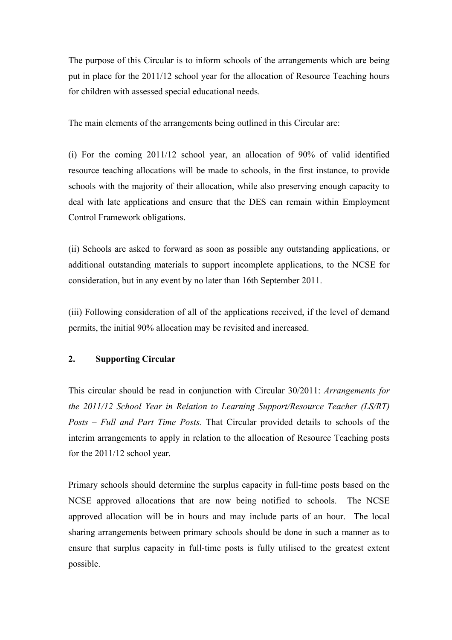The purpose of this Circular is to inform schools of the arrangements which are being put in place for the 2011/12 school year for the allocation of Resource Teaching hours for children with assessed special educational needs.

The main elements of the arrangements being outlined in this Circular are:

(i) For the coming 2011/12 school year, an allocation of 90% of valid identified resource teaching allocations will be made to schools, in the first instance, to provide schools with the majority of their allocation, while also preserving enough capacity to deal with late applications and ensure that the DES can remain within Employment Control Framework obligations.

(ii) Schools are asked to forward as soon as possible any outstanding applications, or additional outstanding materials to support incomplete applications, to the NCSE for consideration, but in any event by no later than 16th September 2011.

(iii) Following consideration of all of the applications received, if the level of demand permits, the initial 90% allocation may be revisited and increased.

# **2. Supporting Circular**

This circular should be read in conjunction with Circular 30/2011: *Arrangements for the 2011/12 School Year in Relation to Learning Support/Resource Teacher (LS/RT) Posts – Full and Part Time Posts.* That Circular provided details to schools of the interim arrangements to apply in relation to the allocation of Resource Teaching posts for the 2011/12 school year.

Primary schools should determine the surplus capacity in full-time posts based on the NCSE approved allocations that are now being notified to schools. The NCSE approved allocation will be in hours and may include parts of an hour. The local sharing arrangements between primary schools should be done in such a manner as to ensure that surplus capacity in full-time posts is fully utilised to the greatest extent possible.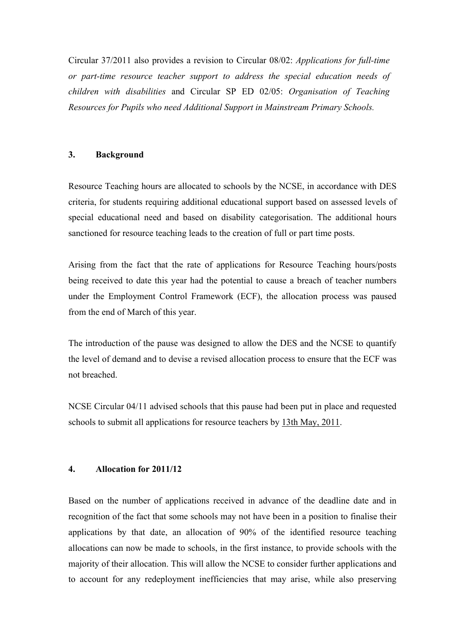Circular 37/2011 also provides a revision to Circular 08/02: *Applications for full-time or part-time resource teacher support to address the special education needs of children with disabilities* and Circular SP ED 02/05: *Organisation of Teaching Resources for Pupils who need Additional Support in Mainstream Primary Schools.*

#### **3. Background**

Resource Teaching hours are allocated to schools by the NCSE, in accordance with DES criteria, for students requiring additional educational support based on assessed levels of special educational need and based on disability categorisation. The additional hours sanctioned for resource teaching leads to the creation of full or part time posts.

Arising from the fact that the rate of applications for Resource Teaching hours/posts being received to date this year had the potential to cause a breach of teacher numbers under the Employment Control Framework (ECF), the allocation process was paused from the end of March of this year.

The introduction of the pause was designed to allow the DES and the NCSE to quantify the level of demand and to devise a revised allocation process to ensure that the ECF was not breached.

NCSE Circular 04/11 advised schools that this pause had been put in place and requested schools to submit all applications for resource teachers by 13th May, 2011.

#### **4. Allocation for 2011/12**

Based on the number of applications received in advance of the deadline date and in recognition of the fact that some schools may not have been in a position to finalise their applications by that date, an allocation of 90% of the identified resource teaching allocations can now be made to schools, in the first instance, to provide schools with the majority of their allocation. This will allow the NCSE to consider further applications and to account for any redeployment inefficiencies that may arise, while also preserving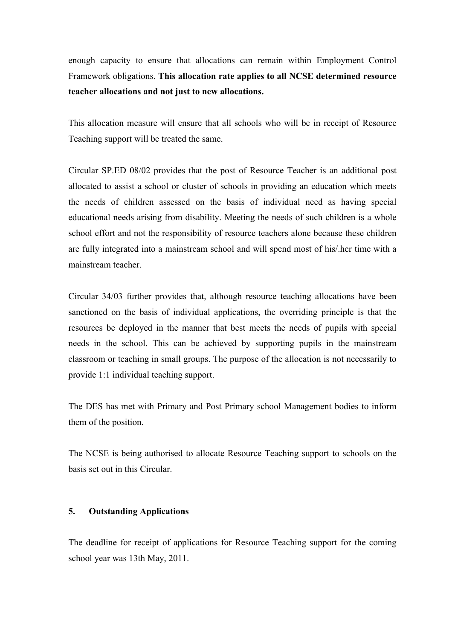enough capacity to ensure that allocations can remain within Employment Control Framework obligations. **This allocation rate applies to all NCSE determined resource teacher allocations and not just to new allocations.** 

This allocation measure will ensure that all schools who will be in receipt of Resource Teaching support will be treated the same.

Circular SP.ED 08/02 provides that the post of Resource Teacher is an additional post allocated to assist a school or cluster of schools in providing an education which meets the needs of children assessed on the basis of individual need as having special educational needs arising from disability. Meeting the needs of such children is a whole school effort and not the responsibility of resource teachers alone because these children are fully integrated into a mainstream school and will spend most of his/.her time with a mainstream teacher.

Circular 34/03 further provides that, although resource teaching allocations have been sanctioned on the basis of individual applications, the overriding principle is that the resources be deployed in the manner that best meets the needs of pupils with special needs in the school. This can be achieved by supporting pupils in the mainstream classroom or teaching in small groups. The purpose of the allocation is not necessarily to provide 1:1 individual teaching support.

The DES has met with Primary and Post Primary school Management bodies to inform them of the position.

The NCSE is being authorised to allocate Resource Teaching support to schools on the basis set out in this Circular.

#### **5. Outstanding Applications**

The deadline for receipt of applications for Resource Teaching support for the coming school year was 13th May, 2011.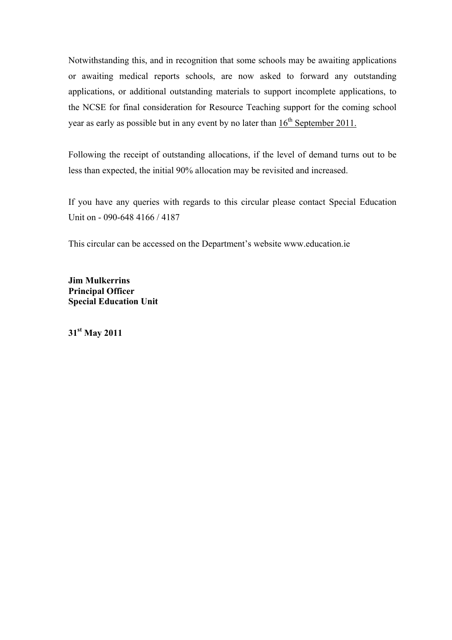Notwithstanding this, and in recognition that some schools may be awaiting applications or awaiting medical reports schools, are now asked to forward any outstanding applications, or additional outstanding materials to support incomplete applications, to the NCSE for final consideration for Resource Teaching support for the coming school year as early as possible but in any event by no later than  $16<sup>th</sup>$  September 2011.

Following the receipt of outstanding allocations, if the level of demand turns out to be less than expected, the initial 90% allocation may be revisited and increased.

If you have any queries with regards to this circular please contact Special Education Unit on - 090-648 4166 / 4187

This circular can be accessed on the Department's website www.education.ie

**Jim Mulkerrins Principal Officer Special Education Unit**

**31st May 2011**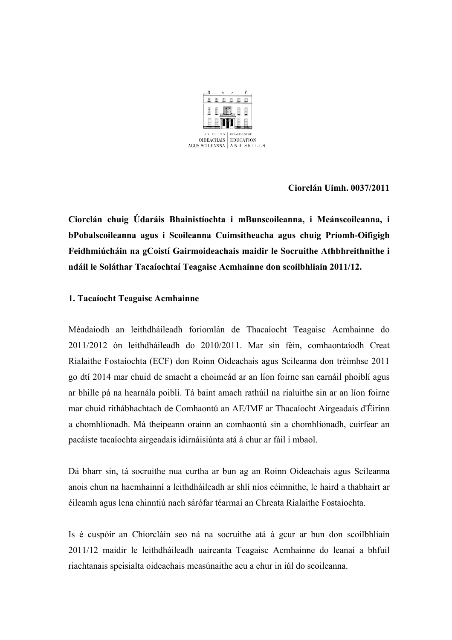

**Ciorclán Uimh. 0037/2011** 

**Ciorclán chuig Údaráis Bhainistíochta i mBunscoileanna, i Meánscoileanna, i bPobalscoileanna agus i Scoileanna Cuimsitheacha agus chuig Príomh-Oifigigh Feidhmiúcháin na gCoistí Gairmoideachais maidir le Socruithe Athbhreithnithe i ndáil le Soláthar Tacaíochtaí Teagaisc Acmhainne don scoilbhliain 2011/12.** 

## **1. Tacaíocht Teagaisc Acmhainne**

Méadaíodh an leithdháileadh foriomlán de Thacaíocht Teagaisc Acmhainne do 2011/2012 ón leithdháileadh do 2010/2011. Mar sin féin, comhaontaíodh Creat Rialaithe Fostaíochta (ECF) don Roinn Oideachais agus Scileanna don tréimhse 2011 go dtí 2014 mar chuid de smacht a choimeád ar an líon foirne san earnáil phoiblí agus ar bhille pá na hearnála poiblí. Tá baint amach rathúil na rialuithe sin ar an líon foirne mar chuid ríthábhachtach de Comhaontú an AE/IMF ar Thacaíocht Airgeadais d'Éirinn a chomhlíonadh. Má theipeann orainn an comhaontú sin a chomhlíonadh, cuirfear an pacáiste tacaíochta airgeadais idirnáisiúnta atá á chur ar fáil i mbaol.

Dá bharr sin, tá socruithe nua curtha ar bun ag an Roinn Oideachais agus Scileanna anois chun na hacmhainní a leithdháileadh ar shlí níos céimnithe, le haird a thabhairt ar éileamh agus lena chinntiú nach sárófar téarmaí an Chreata Rialaithe Fostaíochta.

Is é cuspóir an Chiorcláin seo ná na socruithe atá á gcur ar bun don scoilbhliain 2011/12 maidir le leithdháileadh uaireanta Teagaisc Acmhainne do leanaí a bhfuil riachtanais speisialta oideachais measúnaithe acu a chur in iúl do scoileanna.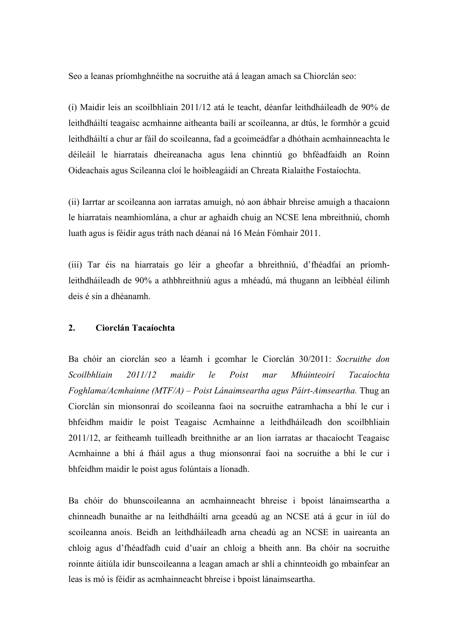Seo a leanas príomhghnéithe na socruithe atá á leagan amach sa Chiorclán seo:

(i) Maidir leis an scoilbhliain 2011/12 atá le teacht, déanfar leithdháileadh de 90% de leithdháiltí teagaisc acmhainne aitheanta bailí ar scoileanna, ar dtús, le formhór a gcuid leithdháiltí a chur ar fáil do scoileanna, fad a gcoimeádfar a dhóthain acmhainneachta le déileáil le hiarratais dheireanacha agus lena chinntiú go bhféadfaidh an Roinn Oideachais agus Scileanna cloí le hoibleagáidí an Chreata Rialaithe Fostaíochta.

(ii) Iarrtar ar scoileanna aon iarratas amuigh, nó aon ábhair bhreise amuigh a thacaíonn le hiarratais neamhiomlána, a chur ar aghaidh chuig an NCSE lena mbreithniú, chomh luath agus is féidir agus tráth nach déanaí ná 16 Meán Fómhair 2011.

(iii) Tar éis na hiarratais go léir a gheofar a bhreithniú, d'fhéadfaí an príomhleithdháileadh de 90% a athbhreithniú agus a mhéadú, má thugann an leibhéal éilimh deis é sin a dhéanamh.

#### **2. Ciorclán Tacaíochta**

Ba chóir an ciorclán seo a léamh i gcomhar le Ciorclán 30/2011: *Socruithe don Scoilbhliain 2011/12 maidir le Poist mar Mhúinteoirí Tacaíochta Foghlama/Acmhainne (MTF/A) – Poist Lánaimseartha agus Páirt-Aimseartha.* Thug an Ciorclán sin mionsonraí do scoileanna faoi na socruithe eatramhacha a bhí le cur i bhfeidhm maidir le poist Teagaisc Acmhainne a leithdháileadh don scoilbhliain 2011/12, ar feitheamh tuilleadh breithnithe ar an líon iarratas ar thacaíocht Teagaisc Acmhainne a bhí á fháil agus a thug mionsonraí faoi na socruithe a bhí le cur i bhfeidhm maidir le poist agus folúntais a líonadh.

Ba chóir do bhunscoileanna an acmhainneacht bhreise i bpoist lánaimseartha a chinneadh bunaithe ar na leithdháiltí arna gceadú ag an NCSE atá á gcur in iúl do scoileanna anois. Beidh an leithdháileadh arna cheadú ag an NCSE in uaireanta an chloig agus d'fhéadfadh cuid d'uair an chloig a bheith ann. Ba chóir na socruithe roinnte áitiúla idir bunscoileanna a leagan amach ar shlí a chinnteoidh go mbainfear an leas is mó is féidir as acmhainneacht bhreise i bpoist lánaimseartha.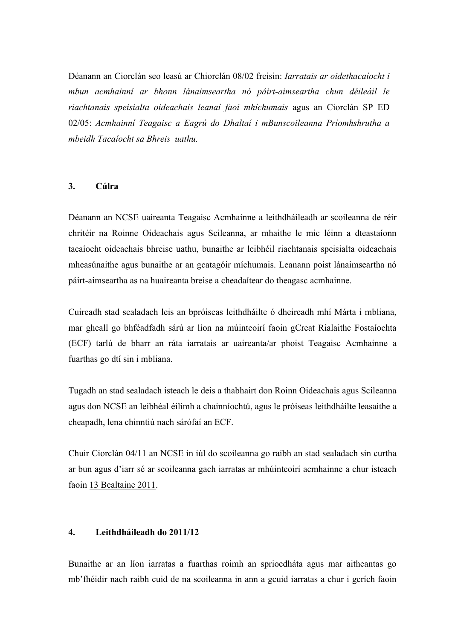Déanann an Ciorclán seo leasú ar Chiorclán 08/02 freisin: *Iarratais ar oidethacaíocht i mbun acmhainní ar bhonn lánaimseartha nó páirt-aimseartha chun déileáil le riachtanais speisialta oideachais leanaí faoi mhíchumais* agus an Ciorclán SP ED 02/05: *Acmhainní Teagaisc a Eagrú do Dhaltaí i mBunscoileanna Príomhshrutha a mbeidh Tacaíocht sa Bhreis uathu.* 

#### **3. Cúlra**

Déanann an NCSE uaireanta Teagaisc Acmhainne a leithdháileadh ar scoileanna de réir chritéir na Roinne Oideachais agus Scileanna, ar mhaithe le mic léinn a dteastaíonn tacaíocht oideachais bhreise uathu, bunaithe ar leibhéil riachtanais speisialta oideachais mheasúnaithe agus bunaithe ar an gcatagóir míchumais. Leanann poist lánaimseartha nó páirt-aimseartha as na huaireanta breise a cheadaítear do theagasc acmhainne.

Cuireadh stad sealadach leis an bpróiseas leithdháilte ó dheireadh mhí Márta i mbliana, mar gheall go bhféadfadh sárú ar líon na múinteoirí faoin gCreat Rialaithe Fostaíochta (ECF) tarlú de bharr an ráta iarratais ar uaireanta/ar phoist Teagaisc Acmhainne a fuarthas go dtí sin i mbliana.

Tugadh an stad sealadach isteach le deis a thabhairt don Roinn Oideachais agus Scileanna agus don NCSE an leibhéal éilimh a chainníochtú, agus le próiseas leithdháilte leasaithe a cheapadh, lena chinntiú nach sárófaí an ECF.

Chuir Ciorclán 04/11 an NCSE in iúl do scoileanna go raibh an stad sealadach sin curtha ar bun agus d'iarr sé ar scoileanna gach iarratas ar mhúinteoirí acmhainne a chur isteach faoin 13 Bealtaine 2011.

## **4. Leithdháileadh do 2011/12**

Bunaithe ar an líon iarratas a fuarthas roimh an spriocdháta agus mar aitheantas go mb'fhéidir nach raibh cuid de na scoileanna in ann a gcuid iarratas a chur i gcrích faoin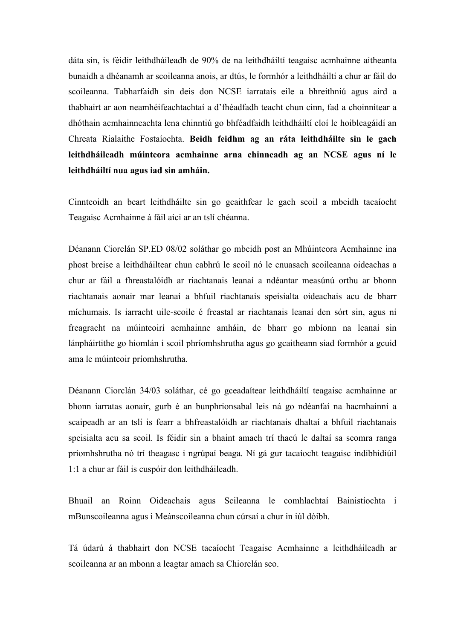dáta sin, is féidir leithdháileadh de 90% de na leithdháiltí teagaisc acmhainne aitheanta bunaidh a dhéanamh ar scoileanna anois, ar dtús, le formhór a leithdháiltí a chur ar fáil do scoileanna. Tabharfaidh sin deis don NCSE iarratais eile a bhreithniú agus aird a thabhairt ar aon neamhéifeachtachtaí a d'fhéadfadh teacht chun cinn, fad a choinnítear a dhóthain acmhainneachta lena chinntiú go bhféadfaidh leithdháiltí cloí le hoibleagáidí an Chreata Rialaithe Fostaíochta. **Beidh feidhm ag an ráta leithdháilte sin le gach leithdháileadh múinteora acmhainne arna chinneadh ag an NCSE agus ní le leithdháiltí nua agus iad sin amháin.**

Cinnteoidh an beart leithdháilte sin go gcaithfear le gach scoil a mbeidh tacaíocht Teagaisc Acmhainne á fáil aici ar an tslí chéanna.

Déanann Ciorclán SP.ED 08/02 soláthar go mbeidh post an Mhúinteora Acmhainne ina phost breise a leithdháiltear chun cabhrú le scoil nó le cnuasach scoileanna oideachas a chur ar fáil a fhreastalóidh ar riachtanais leanaí a ndéantar measúnú orthu ar bhonn riachtanais aonair mar leanaí a bhfuil riachtanais speisialta oideachais acu de bharr míchumais. Is iarracht uile-scoile é freastal ar riachtanais leanaí den sórt sin, agus ní freagracht na múinteoirí acmhainne amháin, de bharr go mbíonn na leanaí sin lánpháirtithe go hiomlán i scoil phríomhshrutha agus go gcaitheann siad formhór a gcuid ama le múinteoir príomhshrutha.

Déanann Ciorclán 34/03 soláthar, cé go gceadaítear leithdháiltí teagaisc acmhainne ar bhonn iarratas aonair, gurb é an bunphrionsabal leis ná go ndéanfaí na hacmhainní a scaipeadh ar an tslí is fearr a bhfreastalóidh ar riachtanais dhaltaí a bhfuil riachtanais speisialta acu sa scoil. Is féidir sin a bhaint amach trí thacú le daltaí sa seomra ranga príomhshrutha nó trí theagasc i ngrúpaí beaga. Ní gá gur tacaíocht teagaisc indibhidiúil 1:1 a chur ar fáil is cuspóir don leithdháileadh.

Bhuail an Roinn Oideachais agus Scileanna le comhlachtaí Bainistíochta i mBunscoileanna agus i Meánscoileanna chun cúrsaí a chur in iúl dóibh.

Tá údarú á thabhairt don NCSE tacaíocht Teagaisc Acmhainne a leithdháileadh ar scoileanna ar an mbonn a leagtar amach sa Chiorclán seo.